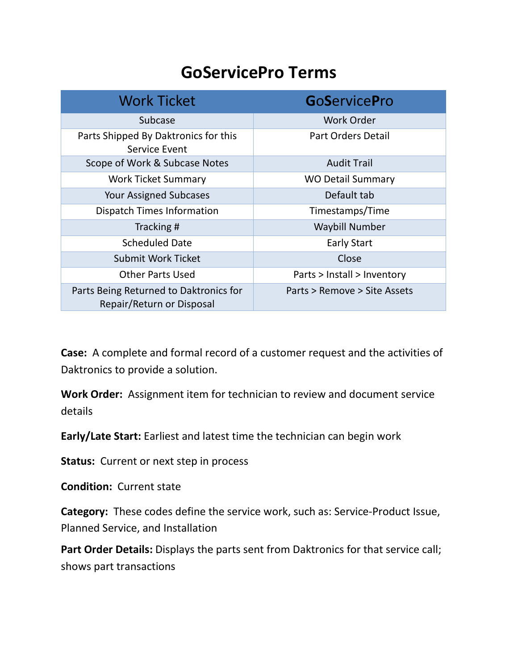## **GoServicePro Terms**

| <b>Work Ticket</b>                                                  | <b>GoServicePro</b>          |
|---------------------------------------------------------------------|------------------------------|
| Subcase                                                             | <b>Work Order</b>            |
| Parts Shipped By Daktronics for this<br>Service Event               | <b>Part Orders Detail</b>    |
| Scope of Work & Subcase Notes                                       | <b>Audit Trail</b>           |
| <b>Work Ticket Summary</b>                                          | <b>WO Detail Summary</b>     |
| <b>Your Assigned Subcases</b>                                       | Default tab                  |
| <b>Dispatch Times Information</b>                                   | Timestamps/Time              |
| Tracking#                                                           | <b>Waybill Number</b>        |
| <b>Scheduled Date</b>                                               | <b>Early Start</b>           |
| Submit Work Ticket                                                  | Close                        |
| <b>Other Parts Used</b>                                             | Parts > Install > Inventory  |
| Parts Being Returned to Daktronics for<br>Repair/Return or Disposal | Parts > Remove > Site Assets |

**Case:** A complete and formal record of a customer request and the activities of Daktronics to provide a solution.

**Work Order:** Assignment item for technician to review and document service details

**Early/Late Start:** Earliest and latest time the technician can begin work

**Status:** Current or next step in process

**Condition:** Current state

**Category:** These codes define the service work, such as: Service-Product Issue, Planned Service, and Installation

Part Order Details: Displays the parts sent from Daktronics for that service call; shows part transactions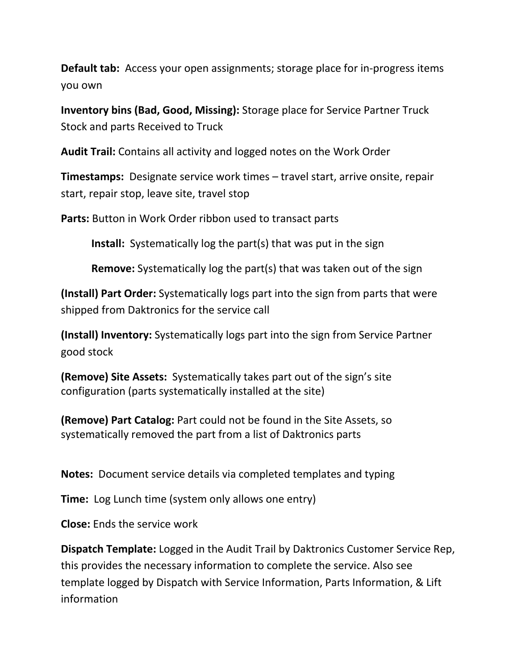**Default tab:** Access your open assignments; storage place for in-progress items you own

**Inventory bins (Bad, Good, Missing):** Storage place for Service Partner Truck Stock and parts Received to Truck

**Audit Trail:** Contains all activity and logged notes on the Work Order

**Timestamps:** Designate service work times – travel start, arrive onsite, repair start, repair stop, leave site, travel stop

Parts: Button in Work Order ribbon used to transact parts

**Install:** Systematically log the part(s) that was put in the sign

**Remove:** Systematically log the part(s) that was taken out of the sign

**(Install) Part Order:** Systematically logs part into the sign from parts that were shipped from Daktronics for the service call

**(Install) Inventory:** Systematically logs part into the sign from Service Partner good stock

**(Remove) Site Assets:** Systematically takes part out of the sign's site configuration (parts systematically installed at the site)

**(Remove) Part Catalog:** Part could not be found in the Site Assets, so systematically removed the part from a list of Daktronics parts

**Notes:** Document service details via completed templates and typing

**Time:** Log Lunch time (system only allows one entry)

**Close:** Ends the service work

**Dispatch Template:** Logged in the Audit Trail by Daktronics Customer Service Rep, this provides the necessary information to complete the service. Also see template logged by Dispatch with Service Information, Parts Information, & Lift information